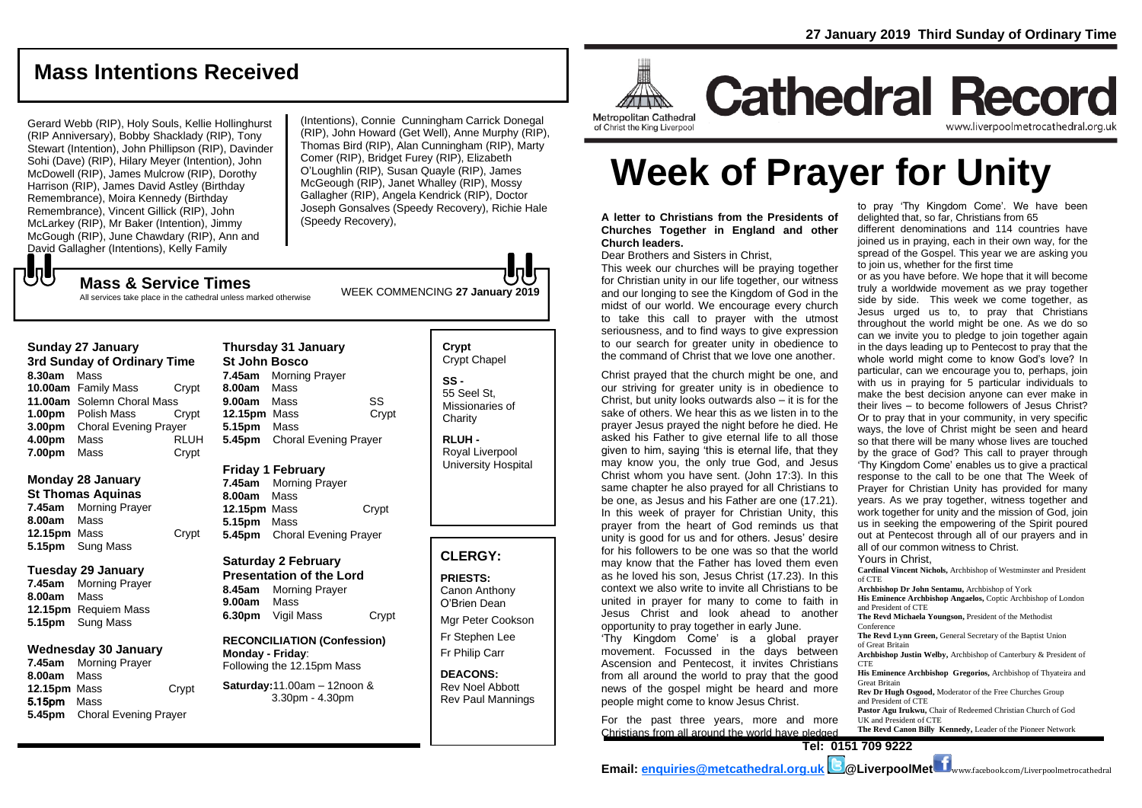# **Mass Intentions Received**

Gerard Webb (RIP), Holy Souls, Kellie Hollinghurst (RIP Anniversary), Bobby Shacklady (RIP), Tony Stewart (Intention), John Phillipson (RIP), Davinder Sohi (Dave) (RIP), Hilary Meyer (Intention), John McDowell (RIP), James Mulcrow (RIP), Dorothy Harrison (RIP), James David Astley (Birthday Remembrance), Moira Kennedy (Birthday Remembrance), Vincent Gillick (RIP), John McLarkey (RIP), Mr Baker (Intention), Jimmy McGough (RIP), June Chawdary (RIP), Ann and David Gallagher (Intentions), Kelly Family

(Intentions), Connie Cunningham Carrick Donegal (RIP), John Howard (Get Well), Anne Murphy (RIP), Thomas Bird (RIP), Alan Cunningham (RIP), Marty Comer (RIP), Bridget Furey (RIP), Elizabeth O'Loughlin (RIP), Susan Quayle (RIP), James McGeough (RIP), Janet Whalley (RIP), Mossy Gallagher (RIP), Angela Kendrick (RIP), Doctor Joseph Gonsalves (Speedy Recovery), Richie Hale (Speedy Recovery),

WEEK COMMENCING **<sup>27</sup> January 2019 Mass & Service Times** All services take place in the cathedral unless marked otherwise

#### **Sunday 27 January**

でし

**3rd Sunday of Ordinary Time 8.30am** Mass **10.00am** Family Mass Crypt **11.00am** Solemn Choral Mass **1.00pm** Polish Mass Crypt **3.00pm** Choral Evening Prayer **4.00pm** Mass RLUH **7.00pm** Mass Crypt

#### **Monday 28 January**

**St Thomas Aquinas 7.45am** Morning Prayer **8.00am** Mass **12.15pm** Mass Crypt **5.15pm** Sung Mass

#### **Tuesday 29 January**

**7.45am** Morning Prayer **8.00am** Mass **12.15pm** Requiem Mass **5.15pm** Sung Mass

#### **Wednesday 30 January**

**7.45am** Morning Prayer **8.00am** Mass **12.15pm** Mass Crypt 5.15pm Mass **5.45pm** Choral Evening Prayer

**Thursday 31 January St John Bosco 7.45am** Morning Prayer **8.00am** Mass **9.00am** Mass SS **12.15pm** Mass Crypt **5.15pm** Mass **5.45pm** Choral Evening Prayer

#### **Friday 1 February 7.45am** Morning Prayer

**8.00am** Mass **12.15pm** Mass Crypt **5.15pm** Mass **5.45pm** Choral Evening Prayer

#### **Saturday 2 February Presentation of the Lord 8.45am** Morning Prayer **9.00am** Mass

**6.30pm** Vigil Mass Crypt

#### **RECONCILIATION (Confession) Monday - Friday**: Following the 12.15pm Mass

#### **Saturday:**11.00am – 12noon & 3.30pm - 4.30pm

**Crypt**  Crypt Chapel **SS -** 55 Seel St, Missionaries of **Charity** 

**RLUH -** Royal Liverpool University Hospital

## **CLERGY:**

**PRIESTS:** Canon Anthony O'Brien *Dean*

Mgr Peter Cookson Fr Stephen Lee Fr Philip Carr

**DEACONS:** Rev Noel Abbott Rev Paul Mannings



# **Cathedral Record** www.liverpoolmetrocathedral.org.uk

of Christ the King Liverpool

# **Week of Prayer for Unity**

**A letter to Christians from the Presidents of Churches Together in England and other Church leaders.**

Dear Brothers and Sisters in Christ,

This week our churches will be praying together for Christian unity in our life together, our witness and our longing to see the Kingdom of God in the midst of our world. We encourage every church to take this call to prayer with the utmost seriousness, and to find ways to give expression to our search for greater unity in obedience to the command of Christ that we love one another.

Christ prayed that the church might be one, and our striving for greater unity is in obedience to Christ, but unity looks outwards also – it is for the sake of others. We hear this as we listen in to the prayer Jesus prayed the night before he died. He asked his Father to give eternal life to all those given to him, saying 'this is eternal life, that they may know you, the only true God, and Jesus Christ whom you have sent. (John 17:3). In this same chapter he also prayed for all Christians to be one, as Jesus and his Father are one (17.21). In this week of prayer for Christian Unity, this prayer from the heart of God reminds us that unity is good for us and for others. Jesus' desire for his followers to be one was so that the world may know that the Father has loved them even as he loved his son, Jesus Christ (17.23). In this context we also write to invite all Christians to be united in prayer for many to come to faith in Jesus Christ and look ahead to another opportunity to pray together in early June.

'Thy Kingdom Come' is a global prayer movement. Focussed in the days between Ascension and Pentecost, it invites Christians from all around the world to pray that the good news of the gospel might be heard and more people might come to know Jesus Christ.

For the past three years, more and more Christians from all around the world have pledged

to pray 'Thy Kingdom Come'. We have been delighted that, so far, Christians from 65

different denominations and 114 countries have joined us in praying, each in their own way, for the spread of the Gospel. This year we are asking you to join us, whether for the first time

or as you have before. We hope that it will become truly a worldwide movement as we pray together side by side. This week we come together, as Jesus urged us to, to pray that Christians throughout the world might be one. As we do so can we invite you to pledge to join together again in the days leading up to Pentecost to pray that the whole world might come to know God's love? In particular, can we encourage you to, perhaps, join with us in praying for 5 particular individuals to make the best decision anyone can ever make in their lives – to become followers of Jesus Christ? Or to pray that in your community, in very specific ways, the love of Christ might be seen and heard so that there will be many whose lives are touched by the grace of God? This call to prayer through 'Thy Kingdom Come' enables us to give a practical response to the call to be one that The Week of Prayer for Christian Unity has provided for many years. As we pray together, witness together and work together for unity and the mission of God, join us in seeking the empowering of the Spirit poured out at Pentecost through all of our prayers and in all of our common witness to Christ. Yours in Christ,

**Cardinal Vincent Nichols,** Archbishop of Westminster and President of CTE **Archbishop Dr John Sentamu,** Archbishop of York **His Eminence Archbishop Angaelos,** Coptic Archbishop of London and President of CTE **The Revd Michaela Youngson,** President of the Methodist Conference **The Revd Lynn Green,** General Secretary of the Baptist Union of Great Britain **Archbishop Justin Welby,** Archbishop of Canterbury & President of **CTE His Eminence Archbishop Gregorios,** Archbishop of Thyateira and Great Britain **Rev Dr Hugh Osgood,** Moderator of the Free Churches Group and President of CTE **Pastor Agu Irukwu,** Chair of Redeemed Christian Church of God UK and President of CTE **The Revd Canon Billy Kennedy,** Leader of the Pioneer Network

**Tel: 0151 709 9222**